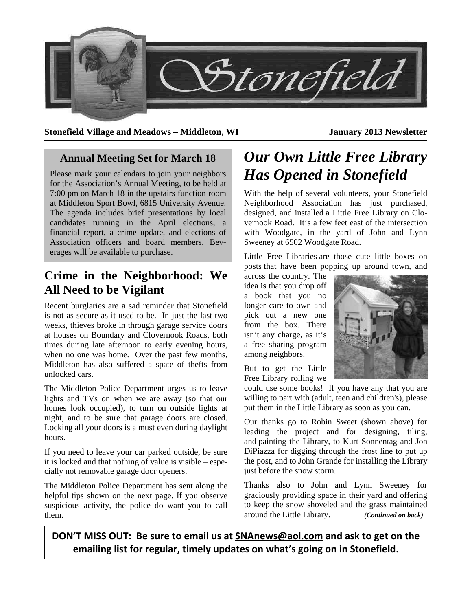

**Stonefield Village and Meadows – Middleton, WI January 2013 Newsletter** 

### **Annual Meeting Set for March 18**

Please mark your calendars to join your neighbors for the Association's Annual Meeting, to be held at 7:00 pm on March 18 in the upstairs function room at Middleton Sport Bowl, 6815 University Avenue. The agenda includes brief presentations by local candidates running in the April elections, a financial report, a crime update, and elections of Association officers and board members. Beverages will be available to purchase.

## **Crime in the Neighborhood: We All Need to be Vigilant**

Recent burglaries are a sad reminder that Stonefield is not as secure as it used to be. In just the last two weeks, thieves broke in through garage service doors at houses on Boundary and Clovernook Roads, both times during late afternoon to early evening hours, when no one was home. Over the past few months, Middleton has also suffered a spate of thefts from unlocked cars.

The Middleton Police Department urges us to leave lights and TVs on when we are away (so that our homes look occupied), to turn on outside lights at night, and to be sure that garage doors are closed. Locking all your doors is a must even during daylight hours.

If you need to leave your car parked outside, be sure it is locked and that nothing of value is visible – especially not removable garage door openers.

The Middleton Police Department has sent along the helpful tips shown on the next page. If you observe suspicious activity, the police do want you to call them.

# *Our Own Little Free Library Has Opened in Stonefield*

With the help of several volunteers, your Stonefield Neighborhood Association has just purchased, designed, and installed a Little Free Library on Clovernook Road. It's a few feet east of the intersection with Woodgate, in the yard of John and Lynn Sweeney at 6502 Woodgate Road.

Little Free Libraries are those cute little boxes on posts that have been popping up around town, and

across the country. The idea is that you drop off a book that you no longer care to own and pick out a new one from the box. There isn't any charge, as it's a free sharing program among neighbors.

But to get the Little Free Library rolling we

could use some books! If you have any that you are willing to part with (adult, teen and children's), please put them in the Little Library as soon as you can.

Our thanks go to Robin Sweet (shown above) for leading the project and for designing, tiling, and painting the Library, to Kurt Sonnentag and Jon DiPiazza for digging through the frost line to put up the post, and to John Grande for installing the Library just before the snow storm.

Thanks also to John and Lynn Sweeney for graciously providing space in their yard and offering to keep the snow shoveled and the grass maintained around the Little Library. *(Continued on back)* 

**DON'T MISS OUT: Be sure to email us at SNAnews@aol.com and ask to get on the emailing list for regular, timely updates on what's going on in Stonefield.**